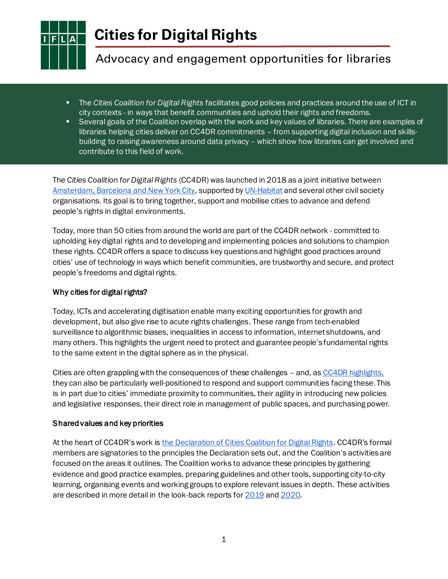

**Cities for Digital Rights**

# Advocacy and engagement opportunities for libraries

- The *Cities Coalition for Digital Rights* facilitates good policies and practices around the use of ICT in city contexts - in ways that benefit communities and uphold their rights and freedoms.
- Several goals of the Coalition overlap with the work and key values of libraries. There are examples of libraries helping cities deliver on CC4DR commitments – from supporting digital inclusion and skillsbuilding to raising awareness around data privacy – which show how libraries can get involved and contribute to this field of work.

The *Cities Coalition for Digital Rights* (CC4DR) was launched in 2018 as a joint initiative betwee[n](https://citiesfordigitalrights.org/launch-coalition) [Amsterdam, Barcelona and New York City](https://citiesfordigitalrights.org/launch-coalition), supported [by](https://citiesfordigitalrights.org/campaign-100-cities-100-days) [UN-Habitat](https://citiesfordigitalrights.org/campaign-100-cities-100-days) and several other civil society organisations. Its goal is to bring together, support and mobilise cities to advance and defend people's rights in digital environments.

Today, more than 50 cities from around the world are part of the CC4DR network - committed to upholding key digital rights and to developing and implementing policies and solutions to champion these rights. CC4DR offers a space to discuss key questions and highlight good practices around cities' use of technology in ways which benefit communities, are trustworthy and secure, and protect people's freedoms and digital rights.

# Why cities for digital rights?

Today, ICTs and accelerating digitisation enable many exciting opportunities for growth and development, but also give rise to acute rights challenges. These range from tech-enabled surveillance to algorithmic biases, inequalities in access to information, internet shutdowns, and many others. This highlights the urgent need to protect and guarantee people's fundamental rights to the same extent in the digital sphere as in the physical.

Citie[s](https://citiesfordigitalrights.org/sites/default/files/Final%20Strategy%202020%20-%20CC4DR.pdf) are often grappling with the consequences of these challenges - and, as CC4DR [highlights,](https://citiesfordigitalrights.org/sites/default/files/Final%20Strategy%202020%20-%20CC4DR.pdf) they can also be particularly well-positioned to respond and support communities facing these. This is in part due to cities' immediate proximity to communities, their agility in introducing new policies and legislative responses, their direct role in management of public spaces, and purchasing power.

# Shared values and key priorities

At the heart of CC4DR'[s](https://www.google.com/search?q=media+sector&client=firefox-b-d&biw=1608&bih=805&ei=AfFpYLaIINjzsAeRr7SYCA&oq=media+sector&gs_lcp=Cgdnd3Mtd2l6EAMyBggAEAcQHjIGCAAQBxAeMgYIABAHEB4yAggAMgYIABAHEB4yBggAEAcQHjIGCAAQBxAeMgYIABAHEB4yBggAEAcQHjIGCAAQBxAeOgkIABCwAxAHEB46BQgAELADOgkIABCwAxAKEB5QxgtYxgtg2w1oAXAAeACAAWyIAbkBkgEDMS4xmAEAoAEBqgEHZ3dzLXdpesgBCcABAQ&sclient=gws-wiz&ved=0ahUKEwj2jNbNiOXvAhXYOewKHZEXDYMQ4dUDCAw&uact=5) work is [the Declaration of Cities Coalition for Digital Rights](https://citiesfordigitalrights.org/declaration). CC4DR's formal members are signatories to the principles the Declaration sets out, and the Coalition's activities are focused on the areas it outlines. The Coalition works to advance these principles by gathering evidence and good practice examples, preparing guidelines and other tools, supporting city-to-city learning, organising events and working groups to explore relevant issues in depth. These activities are described in more detail in the look-back reports fo[r 2019](https://citiesfordigitalrights.org/cc4dr-final-strategy-2020) an[d](https://citiesfordigitalrights.org/cc4dr-progress-2020-beyond-what-lies-ahead) [2020](https://citiesfordigitalrights.org/cc4dr-progress-2020-beyond-what-lies-ahead).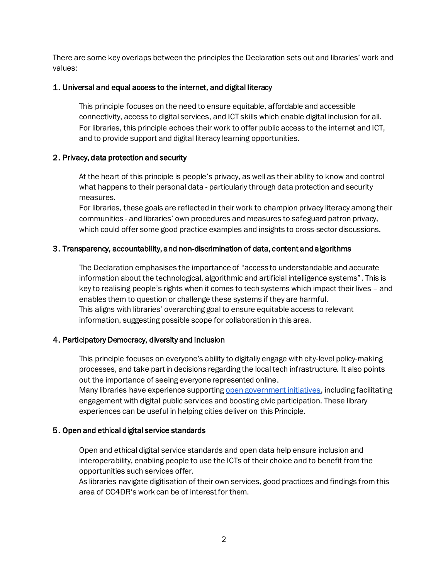There are some key overlaps between the principles the Declaration sets out and libraries' work and values:

### 1. Universal and equal access to the internet, and digital literacy

This principle focuses on the need to ensure equitable, affordable and accessible connectivity, access to digital services, and ICT skills which enable digital inclusion for all. For libraries, this principle echoes their work to offer public access to the internet and ICT, and to provide support and digital literacy learning opportunities.

### 2. Privacy, data protection and security

At the heart of this principle is people's privacy, as well as their ability to know and control what happens to their personal data - particularly through data protection and security measures.

For libraries*,* these goals are reflected in their work to champion privacy literacy among their communities - and libraries' own procedures and measures to safeguard patron privacy, which could offer some good practice examples and insights to cross-sector discussions.

### 3. Transparency, accountability, and non-discrimination of data, content and algorithms

experiences can be useful in helping cities deliver on this Principle.

The Declaration emphasises the importance of "access to understandable and accurate information about the technological, algorithmic and artificial intelligence systems". This is key to realising people's rights when it comes to tech systems which impact their lives – and enables them to question or challenge these systems if they are harmful. This aligns with libraries' overarching goal to ensure equitable access to relevant information, suggesting possible scope for collaboration in this area.

### 4. Participatory Democracy, diversity and inclusion

This principle focuses on everyone's ability to digitally engage with city-level policy-making processes, and take part in decisions regarding the local tech infrastructure. It also points out the importance of seeing everyone represented online. Many libraries have experience supportin[g](https://www.ifla.org/publications/node/93125) [open government initiatives](https://www.ifla.org/publications/node/93125), including facilitating engagement with digital public services and boosting civic participation. These library

# 5. Open and ethical digital service standards

Open and ethical digital service standards and open data help ensure inclusion and interoperability, enabling people to use the ICTs of their choice and to benefit from the opportunities such services offer.

As libraries navigate digitisation of their own services, good practices and findings from this area of CC4DR's work can be of interest for them.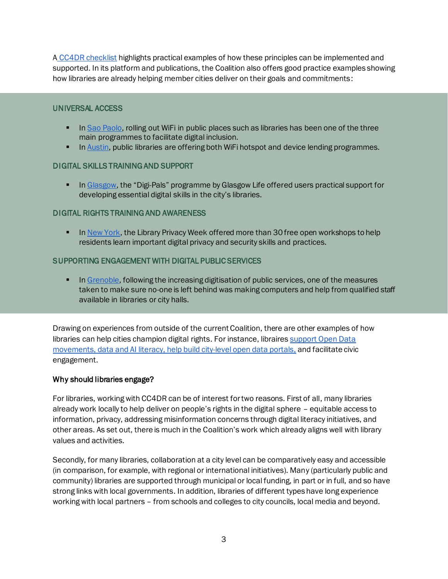A [CC4DR checklist](https://citiesfordigitalrights.org/checklist) highlights practical examples of how these principles can be implemented and supported. In its platform and publications, the Coalition also offers good practice examples showing how libraries are already helping member cities deliver on their goals and commitments:

### UNIVERSAL ACCESS

- **I[n](https://citiesfordigitalrights.org/city/sao-paulo) [Sao Paolo,](https://citiesfordigitalrights.org/city/sao-paulo) rolling out WiFi in public places such as libraries has been one of the three** main programmes to facilitate digital inclusion.
- **I[n](https://citiesfordigitalrights.org/sites/default/files/Cities%20Coalition%20for%20Digital%20Rights_Booklet_2019.pdf#page=27) [Austin,](https://citiesfordigitalrights.org/sites/default/files/Cities%20Coalition%20for%20Digital%20Rights_Booklet_2019.pdf#page=27) public libraries are offering both WiFi hotspot and device lending programmes.**

### DIGITAL SKILLS TRAINING AND SUPPORT

**EXECT** I[n](https://citiesfordigitalrights.org/city/glasgow) [Glasgow](https://citiesfordigitalrights.org/city/glasgow), the "Digi-Pals" programme by Glasgow Life offered users practical support for developing essential digital skills in the city's libraries.

### DIGITAL RIGHTS TRAINING AND AWARENESS

**EXECT** I[n](https://citiesfordigitalrights.org/sites/default/files/Cities%20Coalition%20for%20Digital%20Rights_Booklet_2019.pdf#page=13) [New York,](https://citiesfordigitalrights.org/sites/default/files/Cities%20Coalition%20for%20Digital%20Rights_Booklet_2019.pdf#page=13) the Library Privacy Week offered more than 30 free open workshops to help residents learn important digital privacy and security skills and practices.

### SUPPORTING ENGAGEMENT WITH DIGITAL PUBLIC SERVICES

**• I[n](https://citiesfordigitalrights.org/sites/default/files/Cities%20Coalition%20for%20Digital%20Rights_Booklet_2019.pdf#page=30) [Grenoble,](https://citiesfordigitalrights.org/sites/default/files/Cities%20Coalition%20for%20Digital%20Rights_Booklet_2019.pdf#page=30) following the increasing digitisation of public services, one of the measures** taken to make sure no-one is left behind was making computers and help from qualified staff available in libraries or city halls.

Drawing on experiences from outside of the current Coalition, there are other examples of how libraries can help cities champion digital rights. For instance, libraire[s support Open Data](https://blogs.ifla.org/faife/2020/03/06/libraries-and-open-data/)  movements, data and AI literacy, [help build city-level open data portals](https://blogs.ifla.org/faife/2020/03/06/libraries-and-open-data/), and facilitate civic engagement.

### Why should libraries engage?

For libraries, working with CC4DR can be of interest for two reasons. First of all, many libraries already work locally to help deliver on people's rights in the digital sphere – equitable access to information, privacy, addressing misinformation concerns through digital literacy initiatives, and other areas. As set out, there is much in the Coalition's work which already aligns well with library values and activities.

Secondly, for many libraries, collaboration at a city level can be comparatively easy and accessible (in comparison, for example, with regional or international initiatives). Many (particularly public and community) libraries are supported through municipal or local funding, in part or in full, and so have strong links with local governments. In addition, libraries of different types have long experience working with local partners – from schools and colleges to city councils, local media and beyond.